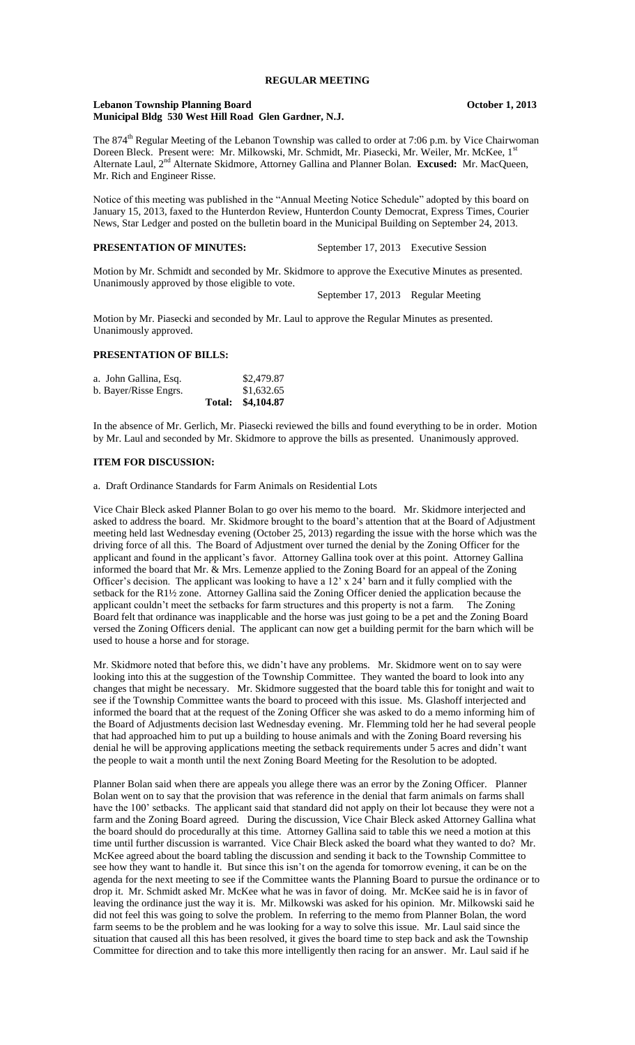#### **Lebanon Township Planning Board October 1, 2013 Municipal Bldg 530 West Hill Road Glen Gardner, N.J.**

The 874<sup>th</sup> Regular Meeting of the Lebanon Township was called to order at 7:06 p.m. by Vice Chairwoman Doreen Bleck. Present were: Mr. Milkowski, Mr. Schmidt, Mr. Piasecki, Mr. Weiler, Mr. McKee, 1<sup>s</sup> Alternate Laul, 2nd Alternate Skidmore, Attorney Gallina and Planner Bolan. **Excused:** Mr. MacQueen, Mr. Rich and Engineer Risse.

Notice of this meeting was published in the "Annual Meeting Notice Schedule" adopted by this board on January 15, 2013, faxed to the Hunterdon Review, Hunterdon County Democrat, Express Times, Courier News, Star Ledger and posted on the bulletin board in the Municipal Building on September 24, 2013.

# **PRESENTATION OF MINUTES:** September 17, 2013 Executive Session

Motion by Mr. Schmidt and seconded by Mr. Skidmore to approve the Executive Minutes as presented. Unanimously approved by those eligible to vote.

September 17, 2013 Regular Meeting

Motion by Mr. Piasecki and seconded by Mr. Laul to approve the Regular Minutes as presented. Unanimously approved.

# **PRESENTATION OF BILLS:**

| a. John Gallina, Esq. | \$2,479.87        |
|-----------------------|-------------------|
| b. Bayer/Risse Engrs. | \$1,632.65        |
|                       | Total: \$4,104.87 |

In the absence of Mr. Gerlich, Mr. Piasecki reviewed the bills and found everything to be in order. Motion by Mr. Laul and seconded by Mr. Skidmore to approve the bills as presented. Unanimously approved.

#### **ITEM FOR DISCUSSION:**

a. Draft Ordinance Standards for Farm Animals on Residential Lots

Vice Chair Bleck asked Planner Bolan to go over his memo to the board. Mr. Skidmore interjected and asked to address the board. Mr. Skidmore brought to the board's attention that at the Board of Adjustment meeting held last Wednesday evening (October 25, 2013) regarding the issue with the horse which was the driving force of all this. The Board of Adjustment over turned the denial by the Zoning Officer for the applicant and found in the applicant's favor. Attorney Gallina took over at this point. Attorney Gallina informed the board that Mr. & Mrs. Lemenze applied to the Zoning Board for an appeal of the Zoning Officer's decision. The applicant was looking to have a 12' x 24' barn and it fully complied with the setback for the R1½ zone. Attorney Gallina said the Zoning Officer denied the application because the applicant couldn't meet the setbacks for farm structures and this property is not a farm. The Zoning Board felt that ordinance was inapplicable and the horse was just going to be a pet and the Zoning Board versed the Zoning Officers denial. The applicant can now get a building permit for the barn which will be used to house a horse and for storage.

Mr. Skidmore noted that before this, we didn't have any problems. Mr. Skidmore went on to say were looking into this at the suggestion of the Township Committee. They wanted the board to look into any changes that might be necessary. Mr. Skidmore suggested that the board table this for tonight and wait to see if the Township Committee wants the board to proceed with this issue. Ms. Glashoff interjected and informed the board that at the request of the Zoning Officer she was asked to do a memo informing him of the Board of Adjustments decision last Wednesday evening. Mr. Flemming told her he had several people that had approached him to put up a building to house animals and with the Zoning Board reversing his denial he will be approving applications meeting the setback requirements under 5 acres and didn't want the people to wait a month until the next Zoning Board Meeting for the Resolution to be adopted.

Planner Bolan said when there are appeals you allege there was an error by the Zoning Officer. Planner Bolan went on to say that the provision that was reference in the denial that farm animals on farms shall have the 100' setbacks. The applicant said that standard did not apply on their lot because they were not a farm and the Zoning Board agreed. During the discussion, Vice Chair Bleck asked Attorney Gallina what the board should do procedurally at this time. Attorney Gallina said to table this we need a motion at this time until further discussion is warranted. Vice Chair Bleck asked the board what they wanted to do? Mr. McKee agreed about the board tabling the discussion and sending it back to the Township Committee to see how they want to handle it. But since this isn't on the agenda for tomorrow evening, it can be on the agenda for the next meeting to see if the Committee wants the Planning Board to pursue the ordinance or to drop it. Mr. Schmidt asked Mr. McKee what he was in favor of doing. Mr. McKee said he is in favor of leaving the ordinance just the way it is. Mr. Milkowski was asked for his opinion. Mr. Milkowski said he did not feel this was going to solve the problem. In referring to the memo from Planner Bolan, the word farm seems to be the problem and he was looking for a way to solve this issue. Mr. Laul said since the situation that caused all this has been resolved, it gives the board time to step back and ask the Township Committee for direction and to take this more intelligently then racing for an answer. Mr. Laul said if he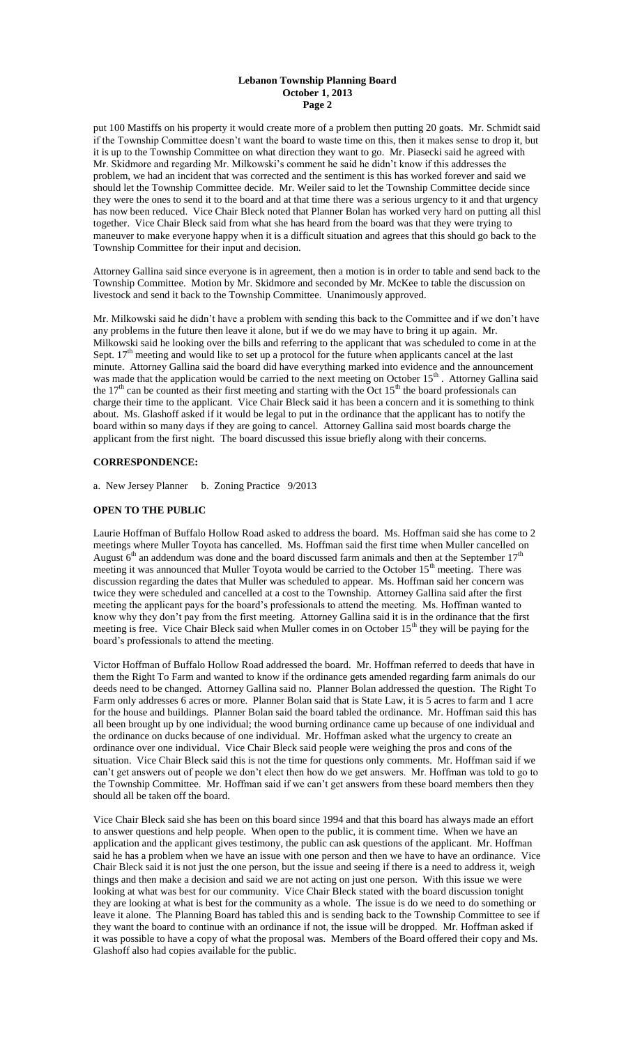#### **Lebanon Township Planning Board October 1, 2013 Page 2**

put 100 Mastiffs on his property it would create more of a problem then putting 20 goats. Mr. Schmidt said if the Township Committee doesn't want the board to waste time on this, then it makes sense to drop it, but it is up to the Township Committee on what direction they want to go. Mr. Piasecki said he agreed with Mr. Skidmore and regarding Mr. Milkowski's comment he said he didn't know if this addresses the problem, we had an incident that was corrected and the sentiment is this has worked forever and said we should let the Township Committee decide. Mr. Weiler said to let the Township Committee decide since they were the ones to send it to the board and at that time there was a serious urgency to it and that urgency has now been reduced. Vice Chair Bleck noted that Planner Bolan has worked very hard on putting all thisl together. Vice Chair Bleck said from what she has heard from the board was that they were trying to maneuver to make everyone happy when it is a difficult situation and agrees that this should go back to the Township Committee for their input and decision.

Attorney Gallina said since everyone is in agreement, then a motion is in order to table and send back to the Township Committee. Motion by Mr. Skidmore and seconded by Mr. McKee to table the discussion on livestock and send it back to the Township Committee. Unanimously approved.

Mr. Milkowski said he didn't have a problem with sending this back to the Committee and if we don't have any problems in the future then leave it alone, but if we do we may have to bring it up again. Mr. Milkowski said he looking over the bills and referring to the applicant that was scheduled to come in at the Sept.  $17<sup>th</sup>$  meeting and would like to set up a protocol for the future when applicants cancel at the last minute. Attorney Gallina said the board did have everything marked into evidence and the announcement was made that the application would be carried to the next meeting on October  $15<sup>th</sup>$ . Attorney Gallina said the  $17<sup>th</sup>$  can be counted as their first meeting and starting with the Oct  $15<sup>th</sup>$  the board professionals can charge their time to the applicant. Vice Chair Bleck said it has been a concern and it is something to think about. Ms. Glashoff asked if it would be legal to put in the ordinance that the applicant has to notify the board within so many days if they are going to cancel. Attorney Gallina said most boards charge the applicant from the first night. The board discussed this issue briefly along with their concerns.

# **CORRESPONDENCE:**

a. New Jersey Planner b. Zoning Practice 9/2013

# **OPEN TO THE PUBLIC**

Laurie Hoffman of Buffalo Hollow Road asked to address the board. Ms. Hoffman said she has come to 2 meetings where Muller Toyota has cancelled. Ms. Hoffman said the first time when Muller cancelled on August  $6<sup>th</sup>$  an addendum was done and the board discussed farm animals and then at the September 17<sup>th</sup> meeting it was announced that Muller Toyota would be carried to the October 15<sup>th</sup> meeting. There was discussion regarding the dates that Muller was scheduled to appear. Ms. Hoffman said her concern was twice they were scheduled and cancelled at a cost to the Township. Attorney Gallina said after the first meeting the applicant pays for the board's professionals to attend the meeting. Ms. Hoffman wanted to know why they don't pay from the first meeting. Attorney Gallina said it is in the ordinance that the first meeting is free. Vice Chair Bleck said when Muller comes in on October 15<sup>th</sup> they will be paying for the board's professionals to attend the meeting.

Victor Hoffman of Buffalo Hollow Road addressed the board. Mr. Hoffman referred to deeds that have in them the Right To Farm and wanted to know if the ordinance gets amended regarding farm animals do our deeds need to be changed. Attorney Gallina said no. Planner Bolan addressed the question. The Right To Farm only addresses 6 acres or more. Planner Bolan said that is State Law, it is 5 acres to farm and 1 acre for the house and buildings. Planner Bolan said the board tabled the ordinance. Mr. Hoffman said this has all been brought up by one individual; the wood burning ordinance came up because of one individual and the ordinance on ducks because of one individual. Mr. Hoffman asked what the urgency to create an ordinance over one individual. Vice Chair Bleck said people were weighing the pros and cons of the situation. Vice Chair Bleck said this is not the time for questions only comments. Mr. Hoffman said if we can't get answers out of people we don't elect then how do we get answers. Mr. Hoffman was told to go to the Township Committee. Mr. Hoffman said if we can't get answers from these board members then they should all be taken off the board.

Vice Chair Bleck said she has been on this board since 1994 and that this board has always made an effort to answer questions and help people. When open to the public, it is comment time. When we have an application and the applicant gives testimony, the public can ask questions of the applicant. Mr. Hoffman said he has a problem when we have an issue with one person and then we have to have an ordinance. Vice Chair Bleck said it is not just the one person, but the issue and seeing if there is a need to address it, weigh things and then make a decision and said we are not acting on just one person. With this issue we were looking at what was best for our community. Vice Chair Bleck stated with the board discussion tonight they are looking at what is best for the community as a whole. The issue is do we need to do something or leave it alone. The Planning Board has tabled this and is sending back to the Township Committee to see if they want the board to continue with an ordinance if not, the issue will be dropped. Mr. Hoffman asked if it was possible to have a copy of what the proposal was. Members of the Board offered their copy and Ms. Glashoff also had copies available for the public.